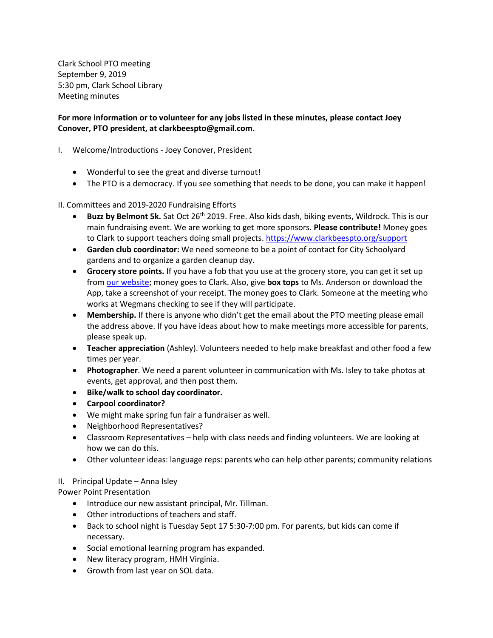Clark School PTO meeting September 9, 2019 5:30 pm, Clark School Library Meeting minutes

## **For more information or to volunteer for any jobs listed in these minutes, please contact Joey Conover, PTO president, at clarkbeespto@gmail.com.**

- I. Welcome/Introductions Joey Conover, President
	- Wonderful to see the great and diverse turnout!
	- The PTO is a democracy. If you see something that needs to be done, you can make it happen!

## II. Committees and 2019-2020 Fundraising Efforts

- Buzz by Belmont 5k. Sat Oct 26<sup>th</sup> 2019. Free. Also kids dash, biking events, Wildrock. This is our main fundraising event. We are working to get more sponsors. **Please contribute!** Money goes to Clark to support teachers doing small projects. <https://www.clarkbeespto.org/support>
- **Garden club coordinator:** We need someone to be a point of contact for City Schoolyard gardens and to organize a garden cleanup day.
- **Grocery store points.** If you have a fob that you use at the grocery store, you can get it set up from [our website;](https://www.clarkbeespto.org/support) money goes to Clark. Also, give **box tops** to Ms. Anderson or download the App, take a screenshot of your receipt. The money goes to Clark. Someone at the meeting who works at Wegmans checking to see if they will participate.
- **Membership.** If there is anyone who didn't get the email about the PTO meeting please email the address above. If you have ideas about how to make meetings more accessible for parents, please speak up.
- **Teacher appreciation** (Ashley). Volunteers needed to help make breakfast and other food a few times per year.
- **Photographer**. We need a parent volunteer in communication with Ms. Isley to take photos at events, get approval, and then post them.
- **Bike/walk to school day coordinator.**
- **Carpool coordinator?**
- We might make spring fun fair a fundraiser as well.
- Neighborhood Representatives?
- Classroom Representatives help with class needs and finding volunteers. We are looking at how we can do this.
- Other volunteer ideas: language reps: parents who can help other parents; community relations

## II. Principal Update – Anna Isley

Power Point Presentation

- Introduce our new assistant principal, Mr. Tillman.
- Other introductions of teachers and staff.
- Back to school night is Tuesday Sept 17 5:30-7:00 pm. For parents, but kids can come if necessary.
- Social emotional learning program has expanded.
- New literacy program, HMH Virginia.
- Growth from last year on SOL data.